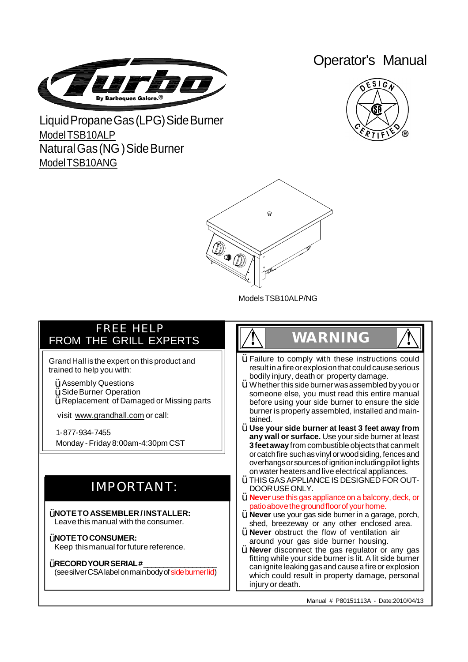

## Operator's Manual



Liquid Propane Gas (LPG) Side Burner ModelTSB<sub>10ALP</sub> NaturalGas(NG)SideBurner ModelTSB10ANG



ModelsTSB10ALP/NG

### FREE HELP FROM THE GRILL EXPERTS

Grand Hall is the expert on this product and trained to help you with:

- $\ddot{\texttt{Y}}$  Assembly Questions
- $\ddot{\textbf{Y}}$  Side Burner Operation
- $\breve{\mathsf{Y}}$  Replacement of Damaged or Missing parts

visit [www.grandhall.com](http://www.grandhall.com) or call:

1-877-934-7455 Monday -Friday 8:00am-4:30pm CST

## IMPORTANT:

**NOTETOASSEMBLER/INSTALLER:** Ÿ Leave this manual with the consumer.

**ŸNOTETO CONSUMER:** Keep thismanual for future reference.

### **ŸRECORD YOUR SERIAL #\_\_\_\_\_\_\_\_\_\_\_\_\_\_\_\_\_\_**

(seesilverCSAlabelonmainbodyof sideburnerlid)

## **! WARNING !**

- $\ddot{Y}$  Failure to comply with these instructions could result in a fire or explosion that could cause serious bodily injury, death or property damage.
- Whether this side burner was assembled by you or someone else, you must read this entire manual before using your side burner to ensure the side burner is properly assembled, installed and maintained. Ÿ
- **Use your side burner at least 3 feet away from** Ÿ **any wall or surface.** Use your side burner at least **3 feet away** from combustible objects that can melt or catch fire such as vinyl or wood siding, fences and overhangs or sources of ignition including pilot lights on water heaters and live electrical appliances.
- $\mathsf{\dot{Y}}$  THIS GAS APPLIANCE IS DESIGNED FOR OUT-DOORUSEONLY.
- **Never** use this gas appliance on a balcony, deck, or Ÿ patio above the ground floor of your home.
- **Never** use your gas side burner in a garage, porch, Ÿ shed, breezeway or any other enclosed area.
- **Never** obstruct the flow of ventilation air Ÿ around your gas side burner housing.
- **Never** disconnect the gas regulator or any gas Ÿfitting while your side burner is lit. A lit side burner can ignite leaking gas and cause a fire or explosion which could result in property damage, personal injury or death.

Manual # P80151113A - Date:2010/04/13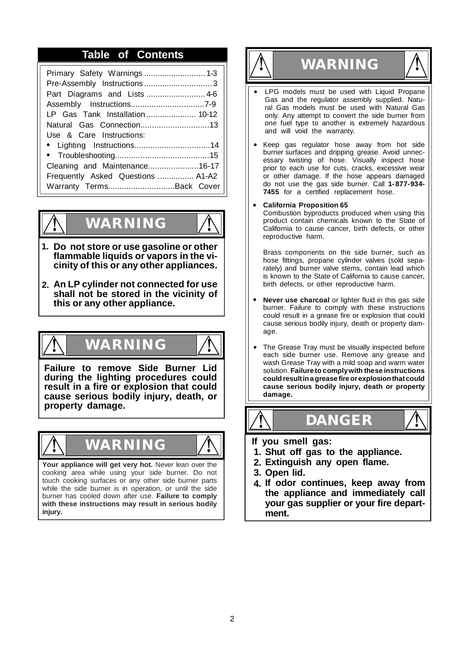# **Table of Contents ! WARNING !**

| Primary Safety Warnings 1-3       |
|-----------------------------------|
| Part Diagrams and Lists  4-6      |
|                                   |
| LP Gas Tank Installation 10-12    |
| Natural Gas Connection13          |
| Use & Care Instructions:          |
|                                   |
|                                   |
| Cleaning and Maintenance16-17     |
| Frequently Asked Questions  A1-A2 |
| Warranty TermsBack Cover          |



## **! WARNING !**

- **Do not store or use gasoline or other 1. flammable liquids or vapors in the vicinity of this or any other appliances.**
- **An LP cylinder not connected for use 2. shall not be stored in the vicinity of this or any other appliance.**

## **! WARNING !**

**Failure to remove Side Burner Lid during the lighting procedures could result in a fire or explosion that could cause serious bodily injury, death, or property damage.**



**Your appliance will get very hot.** Never lean over the cooking area while using your side burner. Do not touch cooking surfaces or any other side burner parts while the side burner is in operation, or until the side burner has cooled down after use. **Failure to comply with these instructions may result in serious bodily injury.**



- **•** LPG models must be used with Liquid Propane Gas and the regulator assembly supplied. Natural Gas models must be used with Natural Gas only. Any attempt to convert the side burner from one fuel type to another is extremely hazardous and will void the warranty.
- Keep gas regulator hose away from hot side **•** burner surfaces and dripping grease. Avoid unnecessary twisting of hose. Visually inspect hose prior to each use for cuts, cracks, excessive wear or other damage. If the hose appears damaged do not use the gas side burner. Call **1-877-934- 7455** for a certified replacement hose.

#### **California Proposition 65 •**

Combustion byproducts produced when using this product contain chemicals known to the State of California to cause cancer, birth defects, or other reproductive harm.

Brass components on the side burner, such as hose fittings, propane cylinder valves (sold separately) and burner valve stems, contain lead which is known to the State of California to cause cancer, birth defects, or other reproductive harm.

- **Never use charcoal** or lighter fluid in this gas side burner. Failure to comply with these instructions could result in a grease fire or explosion that could cause serious bodily injury, death or property damage. **•**
- The Grease Tray must be visually inspected before each side burner use. Remove any grease and wash Grease Tray with a mild soap and warm water solution. **Failure to complywith these instructions couldresultinagrease fireorexplosionthatcould cause serious bodily injury, death or property damage. •**



- **If you smell gas:**
- **1. Shut off gas to the appliance.**
- **2. Extinguish any open flame.**
- **3. Open lid.**
- **4. If odor continues, keep away from the appliance and immediately call your gas supplier or your fire department.**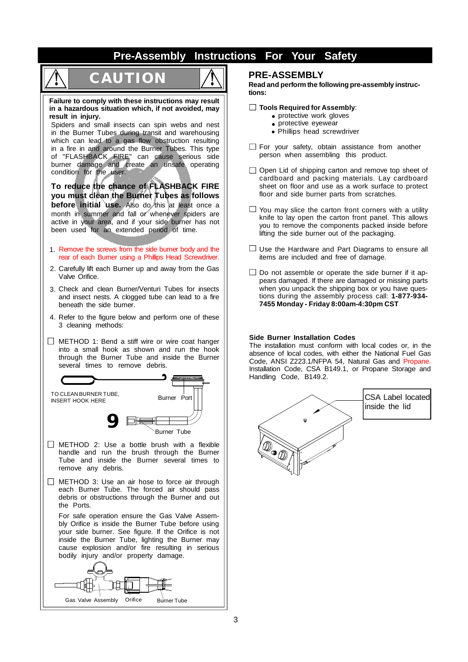### **Pre-Assembly Instructions For Your Safety**

# **! CAUTION !**



**Failure to comply with these instructions may result in a hazardous situation which, if not avoided, may result in injury.**

Spiders and small insects can spin webs and nest in the Burner Tubes during transit and warehousing which can lead to a gas flow obstruction resulting in a fire in and around the Burner Tubes. This type of "FLASHBACK FIRE" can cause serious side burner damage and create an unsafe operating condition for the user.

**To reduce the chance of FLASHBACK FIRE you must clean the Burner Tubes as follows before initial use.** Also do this at least once a month in summer and fall or whenever spiders are active in your area, and if your side burner has not been used for an extended period of time.

- 1. Remove the screws from the side burner body and the rear of each Burner using a Phillips Head Screwdriver.
- 2. Carefully lift each Burner up and away from the Gas Valve Orifice.
- 3. Check and clean Burner/Venturi Tubes for insects and insect nests. A clogged tube can lead to a fire beneath the side burner.
- 4. Refer to the figure below and perform one of these 3 cleaning methods:
- $\Box$  METHOD 1: Bend a stiff wire or wire coat hanger into a small hook as shown and run the hook through the Burner Tube and inside the Burner several times to remove debris.



- $\Box$  METHOD 2: Use a bottle brush with a flexible handle and run the brush through the Burner Tube and inside the Burner several times to remove any debris.
- $\Box$  METHOD 3: Use an air hose to force air through each Burner Tube. The forced air should pass debris or obstructions through the Burner and out the Ports.

For safe operation ensure the Gas Valve Assembly Orifice is inside the Burner Tube before using your side burner. See figure. If the Orifice is not inside the Burner Tube, lighting the Burner may cause explosion and/or fire resulting in serious bodily injury and/or property damage.



### **PRE-ASSEMBLY**

**Read and perform the following pre-assembly instructions:**

### **Tools Required for Assembly**:

- **•** protective work gloves
- **•** protective eyewear
- **•** Phillips head screwdriver
- $\Box$  For your safety, obtain assistance from another person when assembling this product.
- $\Box$  Open Lid of shipping carton and remove top sheet of cardboard and packing materials. Lay cardboard sheet on floor and use as a work surface to protect floor and side burner parts from scratches.
- $\Box$  You may slice the carton front corners with a utility knife to lay open the carton front panel. This allows you to remove the components packed inside before lifting the side burner out of the packaging.
- $\Box$  Use the Hardware and Part Diagrams to ensure all items are included and free of damage.
- $\Box$  Do not assemble or operate the side burner if it appears damaged. If there are damaged or missing parts when you unpack the shipping box or you have questions during the assembly process call: **1-877-934- 7455 Monday - Friday 8:00am-4:30pm CST**

### **Side Burner Installation Codes**

The installation must conform with local codes or, in the absence of local codes, with either the National Fuel Gas Code, ANSI Z223.1/NFPA 54, Natural Gas and Propane. Installation Code, CSA B149.1, or Propane Storage and Handling Code, B149.2.

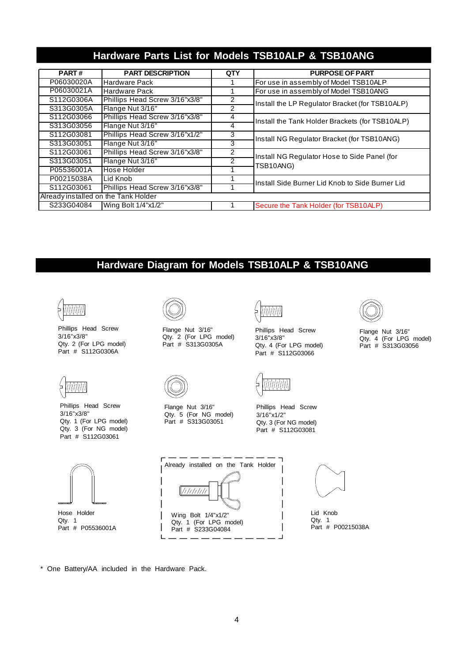### **Hardware Parts List for Models TSB10ALP & TSB10ANG**

| <b>PART#</b>                         | <b>PART DESCRIPTION</b>        | <b>QTY</b>    | <b>PURPOSE OF PART</b>                                    |  |
|--------------------------------------|--------------------------------|---------------|-----------------------------------------------------------|--|
| P06030020A                           | <b>Hardware Pack</b>           |               | For use in assembly of Model TSB10ALP                     |  |
| P06030021A                           | Hardware Pack                  |               | For use in assembly of Model TSB10ANG                     |  |
| S112G0306A                           | Phillips Head Screw 3/16"x3/8" |               | Install the LP Regulator Bracket (for TSB10ALP)           |  |
| S313G0305A                           | Flange Nut 3/16"               | 2             |                                                           |  |
| S112G03066                           | Phillips Head Screw 3/16"x3/8" | 4             | Install the Tank Holder Brackets (for TSB10ALP)           |  |
| S313G03056                           | Flange Nut 3/16"               | 4             |                                                           |  |
| S112G03081                           | Phillips Head Screw 3/16"x1/2" | 3             | Install NG Regulator Bracket (for TSB10ANG)               |  |
| S313G03051                           | Flange Nut 3/16"               | 3             |                                                           |  |
| S112G03061                           | Phillips Head Screw 3/16"x3/8" | 2             | Install NG Regulator Hose to Side Panel (for<br>TSB10ANG) |  |
| S313G03051                           | Flange Nut 3/16"               | $\mathcal{P}$ |                                                           |  |
| P05536001A                           | Hose Holder                    |               |                                                           |  |
| P00215038A                           | Lid Knob                       |               | Install Side Burner Lid Knob to Side Burner Lid           |  |
| S112G03061                           | Phillips Head Screw 3/16"x3/8" |               |                                                           |  |
| Already installed on the Tank Holder |                                |               |                                                           |  |
| S233G04084                           | Wing Bolt 1/4"x1/2"            |               | Secure the Tank Holder (for TSB10ALP)                     |  |

### **Hardware Diagram for Models TSB10ALP & TSB10ANG**



Phillips Head Screw 3/16"x3/8" Qty. 2 (For LPG model) Part # S112G0306A



Hose Holder Qty. 1

Part # P05536001A

Phillips Head Screw 3/16"x3/8" Qty. 1 (For LPG model) Qty. 3 (For NG model) Part # S112G03061



Flange Nut 3/16" Qty. 2 (For LPG model) Part # S313G0305A



Phillips Head Screw 3/16"x3/8" Qty. 4 (For LPG model) Part # S112G03066



Flange Nut 3/16" Qty. 4 (For LPG model) Part # S313G03056



Flange Nut 3/16" Qty. 5 (For NG model) Part # S313G03051



Phillips Head Screw 3/16"x1/2" Qty. 3 (For NG model) Part # S112G03081





Lid Knob Qty. 1 Part # P00215038A

\* One Battery/AA included in the Hardware Pack.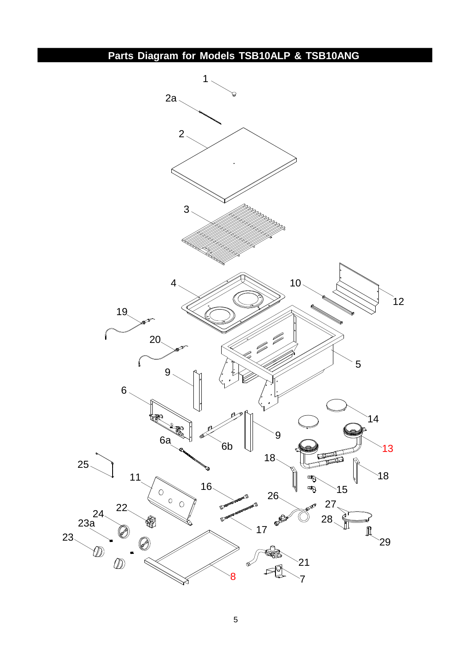**Parts Diagram for Models TSB10ALP & TSB10ANG**

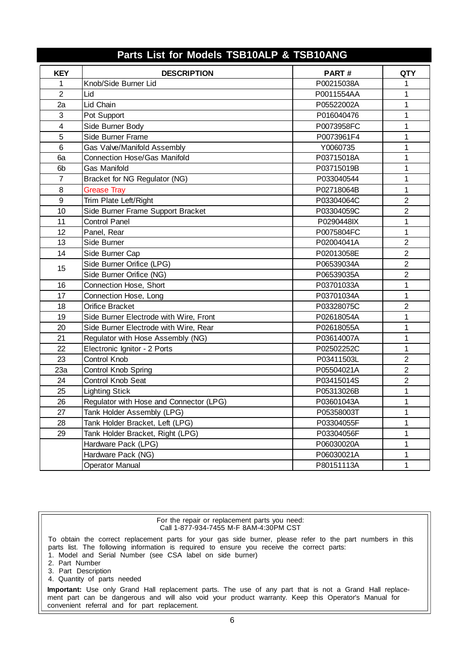| Parts List for Models TSB10ALP & TSB10ANG |                                         |            |                |  |  |  |
|-------------------------------------------|-----------------------------------------|------------|----------------|--|--|--|
| <b>KEY</b>                                | <b>DESCRIPTION</b>                      | PART#      | <b>QTY</b>     |  |  |  |
| 1                                         | Knob/Side Burner Lid                    | P00215038A | 1              |  |  |  |
| $\overline{2}$                            | Lid                                     | P0011554AA | 1              |  |  |  |
| 2a                                        | Lid Chain                               | P05522002A | 1              |  |  |  |
| 3                                         | Pot Support                             | P016040476 | 1              |  |  |  |
| $\overline{\mathbf{4}}$                   | Side Burner Body                        | P0073958FC | 1              |  |  |  |
| 5                                         | Side Burner Frame                       | P0073961F4 | 1              |  |  |  |
| 6                                         | Gas Valve/Manifold Assembly             | Y0060735   | 1              |  |  |  |
| 6a                                        | <b>Connection Hose/Gas Manifold</b>     | P03715018A | 1              |  |  |  |
| 6b                                        | <b>Gas Manifold</b>                     | P03715019B | 1              |  |  |  |
| $\overline{7}$                            | Bracket for NG Regulator (NG)           | P033040544 | 1              |  |  |  |
| 8                                         | <b>Grease Tray</b>                      | P02718064B | 1              |  |  |  |
| 9                                         | Trim Plate Left/Right                   | P03304064C | $\overline{2}$ |  |  |  |
| 10                                        | Side Burner Frame Support Bracket       | P03304059C | $\overline{2}$ |  |  |  |
| 11                                        | <b>Control Panel</b>                    | P0290448IX | 1              |  |  |  |
| 12                                        | Panel, Rear                             | P0075804FC | 1              |  |  |  |
| 13                                        | Side Burner                             | P02004041A | $\overline{2}$ |  |  |  |
| 14                                        | Side Burner Cap                         | P02013058E | $\overline{2}$ |  |  |  |
| 15                                        | Side Burner Orifice (LPG)               | P06539034A | $\overline{2}$ |  |  |  |
|                                           | Side Burner Orifice (NG)                | P06539035A | $\overline{2}$ |  |  |  |
| 16                                        | Connection Hose, Short                  | P03701033A | 1              |  |  |  |
| 17                                        | Connection Hose, Long                   | P03701034A | 1              |  |  |  |
| 18                                        | Orifice Bracket                         | P03328075C | $\overline{2}$ |  |  |  |
| 19                                        | Side Burner Electrode with Wire, Front  | P02618054A | 1              |  |  |  |
| 20                                        | Side Burner Electrode with Wire, Rear   | P02618055A | 1              |  |  |  |
| 21                                        | Regulator with Hose Assembly (NG)       | P03614007A | 1              |  |  |  |
| 22                                        | Electronic Ignitor - 2 Ports            | P02502252C | $\mathbf 1$    |  |  |  |
| 23                                        | Control Knob                            | P03411503L | 2              |  |  |  |
| 23a                                       | Control Knob Spring                     | P05504021A | $\overline{c}$ |  |  |  |
| 24                                        | Control Knob Seat                       | P03415014S | $\overline{2}$ |  |  |  |
| 25                                        | <b>Lighting Stick</b>                   | P05313026B | 1              |  |  |  |
| 26                                        | Regulator with Hose and Connector (LPG) | P03601043A | 1              |  |  |  |
| 27                                        | Tank Holder Assembly (LPG)              | P05358003T | 1              |  |  |  |
| 28                                        | Tank Holder Bracket, Left (LPG)         | P03304055F | 1              |  |  |  |
| 29                                        | Tank Holder Bracket, Right (LPG)        | P03304056F | 1              |  |  |  |
|                                           | Hardware Pack (LPG)                     | P06030020A | 1              |  |  |  |
|                                           | Hardware Pack (NG)                      | P06030021A | 1              |  |  |  |
|                                           | <b>Operator Manual</b>                  | P80151113A | 1              |  |  |  |

| For the repair or replacement parts you need:<br>Call 1-877-934-7455 M-F 8AM-4:30PM CST                                                                                                                                                                                                                                                       |
|-----------------------------------------------------------------------------------------------------------------------------------------------------------------------------------------------------------------------------------------------------------------------------------------------------------------------------------------------|
| To obtain the correct replacement parts for your gas side burner, please refer to the part numbers in this<br>parts list. The following information is required to ensure you receive the correct parts:<br>1. Model and Serial Number (see CSA label on side burner)<br>2. Part Number<br>3. Part Description<br>4. Quantity of parts needed |
| <b>Important:</b> Use only Grand Hall replacement parts. The use of any part that is not a Grand Hall replace-<br>ment part can be dangerous and will also void your product warranty. Keep this Operator's Manual for<br>convenient referral and for part replacement.                                                                       |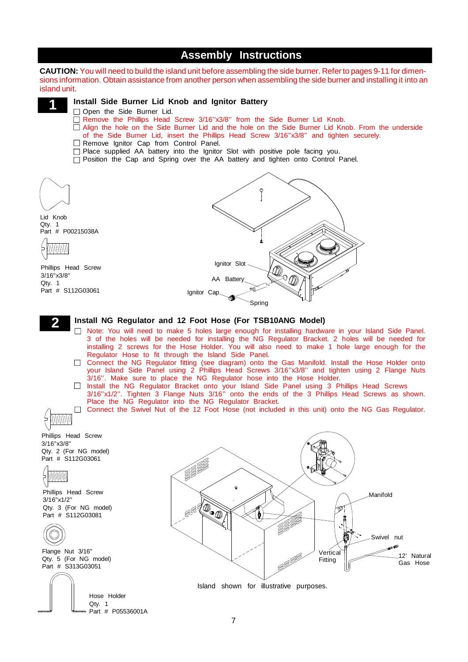### **Assembly Instructions**

**CAUTION:** You will need to build the island unit before assembling the side burner. Refer to pages 9-11 for dimensions information. Obtain assistance from another person when assembling the side burner and installing it into an island unit.



### **Install Side Burner Lid Knob and Ignitor Battery**

- Open the Side Burner Lid.
- Remove the Phillips Head Screw 3/16"x3/8" from the Side Burner Lid Knob.
- $\overline{\Box}$  Align the hole on the Side Burner Lid and the hole on the Side Burner Lid Knob. From the underside of the Side Burner Lid, insert the Phillips Head Screw 3/16''x3/8'' and tighten securely.
- $\Box$  Remove Ignitor Cap from Control Panel.
- $\Box$  Place supplied AA battery into the Ignitor Slot with positive pole facing you.
- $\Box$  Position the Cap and Spring over the AA battery and tighten onto Control Panel.





- □ Note: You will need to make 5 holes large enough for installing hardware in your Island Side Panel. 3 of the holes will be needed for installing the NG Regulator Bracket. 2 holes will be needed for installing 2 screws for the Hose Holder. You will also need to make 1 hole large enough for the Regulator Hose to fit through the Island Side Panel.
- □ Connect the NG Regulator fitting (see diagram) onto the Gas Manifold. Install the Hose Holder onto your Island Side Panel using 2 Phillips Head Screws 3/16"x3/8" and tighten using 2 Flange Nuts 3/16''. Make sure to place the NG Regulator hose into the Hose Holder.
- □ Install the NG Regulator Bracket onto your Island Side Panel using 3 Phillips Head Screws 3/16''x1/2''. Tighten 3 Flange Nuts 3/16'' onto the ends of the 3 Phillips Head Screws as shown. Place the NG Regulator into the NG Regulator Bracket.
- Connect the Swivel Nut of the 12 Foot Hose (not included in this unit) onto the NG Gas Regulator.

Phillips Head Screw 3/16"x3/8" Qty. 2 (For NG model) Part # S112G03061

Willillilli

HIIIIIIII 4

**2**

Phillips Head Screw 3/16"x1/2" Qty. 3 (For NG model) Part # S112G03081



Flange Nut 3/16" Qty. 5 (For NG model) Part # S313G03051

> Hose Holder Qty. 1

Part # P05536001A





Island shown for illustrative purposes.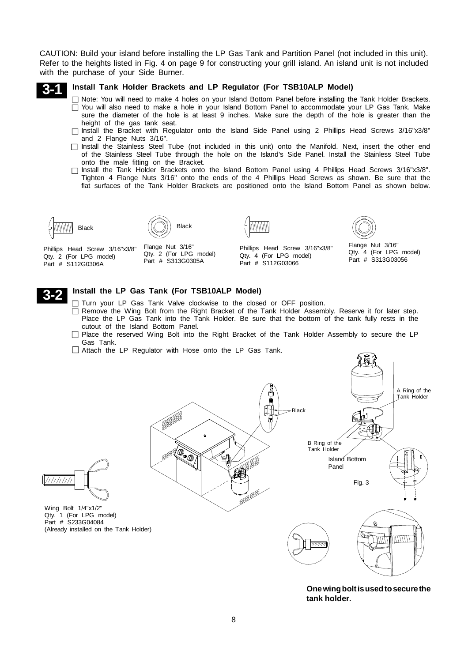CAUTION: Build your island before installing the LP Gas Tank and Partition Panel (not included in this unit). Refer to the heights listed in Fig. 4 on page 9 for constructing your grill island. An island unit is not included with the purchase of your Side Burner.



### **Install Tank Holder Brackets and LP Regulator (For TSB10ALP Model)**

- □ Note: You will need to make 4 holes on your Island Bottom Panel before installing the Tank Holder Brackets. □ You will also need to make a hole in your Island Bottom Panel to accommodate your LP Gas Tank. Make sure the diameter of the hole is at least 9 inches. Make sure the depth of the hole is greater than the height of the gas tank seat.
- $\Box$  Install the Bracket with Regulator onto the Island Side Panel using 2 Phillips Head Screws 3/16"x3/8" and 2 Flange Nuts 3/16".
- Install the Stainless Steel Tube (not included in this unit) onto the Manifold. Next, insert the other end of the Stainless Steel Tube through the hole on the Island's Side Panel. Install the Stainless Steel Tube onto the male fitting on the Bracket.
- $\Box$  Install the Tank Holder Brackets onto the Island Bottom Panel using 4 Phillips Head Screws 3/16"x3/8". Tighten 4 Flange Nuts 3/16" onto the ends of the 4 Phillips Head Screws as shown. Be sure that the flat surfaces of the Tank Holder Brackets are positioned onto the Island Bottom Panel as shown below.





Phillips Head Screw 3/16"x3/8" Qty. 2 (For LPG model) Part # S112G0306A

Flange Nut 3/16" Qty. 2 (For LPG model) Part # S313G0305A



Phillips Head Screw 3/16"x3/8" Qty. 4 (For LPG model) Part # S112G03066

Flange Nut 3/16" Qty. 4 (For LPG model) Part # S313G03056



### **Install the LP Gas Tank (For TSB10ALP Model)**

- $\Box$  Turn your LP Gas Tank Valve clockwise to the closed or OFF position.
- Remove the Wing Bolt from the Right Bracket of the Tank Holder Assembly. Reserve it for later step. Place the LP Gas Tank into the Tank Holder. Be sure that the bottom of the tank fully rests in the cutout of the Island Bottom Panel.
- □ Place the reserved Wing Bolt into the Right Bracket of the Tank Holder Assembly to secure the LP Gas Tank.
- Attach the LP Regulator with Hose onto the LP Gas Tank.



**Onewingboltisusedtosecurethe tank holder.**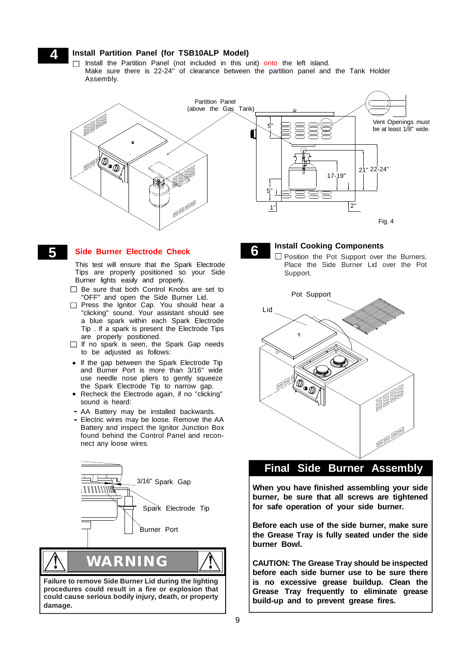## **4 Install Partition Panel (for TSB10ALP Model)**

Install the Partition Panel (not included in this unit) onto the left island. Make sure there is 22-24'' of clearance between the partition panel and the Tank Holder Assembly.



### **5 Side Burner Electrode Check**

This test will ensure that the Spark Electrode Tips are properly positioned so your Side Burner lights easily and properly.

- □ Be sure that both Control Knobs are set to "OFF" and open the Side Burner Lid.
- Press the Ignitor Cap. You should hear a "clicking" sound. Your assistant should see a blue spark within each Spark Electrode Tip . If a spark is present the Electrode Tips are properly positioned.
- $\Box$  If no spark is seen, the Spark Gap needs to be adjusted as follows:
- **•** If the gap between the Spark Electrode Tip and Burner Port is more than 3/16" wide use needle nose pliers to gently squeeze the Spark Electrode Tip to narrow gap.
- **•** Recheck the Electrode again, if no "clicking" sound is heard:
- AA Battery may be installed backwards. **-**
- Electric wires may be loose. Remove the AA **-** Battery and inspect the Ignitor Junction Box found behind the Control Panel and reconnect any loose wires.



**Failure to remove Side Burner Lid during the lighting procedures could result in a fire or explosion that could cause serious bodily injury, death, or property damage.**

**Install Cooking Components**<br> **6 D** Position the Pot Support over the Burners. Place the Side Burner Lid over the Pot Support.



### **Final Side Burner Assembly**

**Step When you have finished assembling your side burner, be sure that all screws are tightened for safe operation of your side burner.**

**Before each use of the side burner, make sure the Grease Tray is fully seated under the side burner Bowl.**

**CAUTION: The Grease Tray should be inspected before each side burner use to be sure there is no excessive grease buildup. Clean the Grease Tray frequently to eliminate grease build-up and to prevent grease fires.**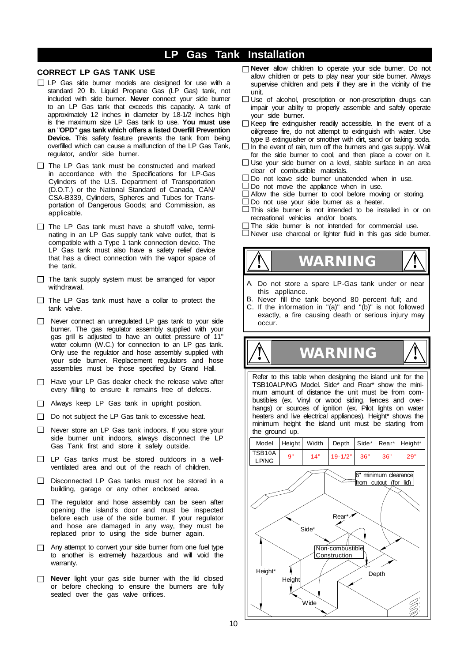### **LP Gas Tank Installation**

### **CORRECT LP GAS TANK USE**

- □ LP Gas side burner models are designed for use with a standard 20 lb. Liquid Propane Gas (LP Gas) tank, not included with side burner. **Never** connect your side burner to an LP Gas tank that exceeds this capacity. A tank of approximately 12 inches in diameter by 18-1/2 inches high is the maximum size LP Gas tank to use. **You must use an** "**OPD" gas tank which offers a listed Overfill Prevention Device.** This safety feature prevents the tank from being overfilled which can cause a malfunction of the LP Gas Tank, regulator, and/or side burner.
- $\Box$  The LP Gas tank must be constructed and marked in accordance with the Specifications for LP-Gas Cylinders of the U.S. Department of Transportation (D.O.T.) or the National Standard of Canada, CAN/ CSA-B339, Cylinders, Spheres and Tubes for Transportation of Dangerous Goods; and Commission, as applicable.
- $\Box$  The LP Gas tank must have a shutoff valve, terminating in an LP Gas supply tank valve outlet, that is compatible with a Type 1 tank connection device. The LP Gas tank must also have a safety relief device that has a direct connection with the vapor space of the tank.
- $\Box$  The tank supply system must be arranged for vapor withdrawal.
- $\Box$  The LP Gas tank must have a collar to protect the tank valve.
- □ Never connect an unregulated LP gas tank to your side burner. The gas regulator assembly supplied with your gas grill is adjusted to have an outlet pressure of 11" water column (W.C.) for connection to an LP gas tank. Only use the regulator and hose assembly supplied with your side burner. Replacement regulators and hose assemblies must be those specified by Grand Hall.
- $\Box$  Have your LP Gas dealer check the release valve after every filling to ensure it remains free of defects.
- Always keep LP Gas tank in upright position.
- □ Do not subject the LP Gas tank to excessive heat.
- $\Box$  Never store an LP Gas tank indoors. If you store your side burner unit indoors, always disconnect the LP Gas Tank first and store it safely outside.
- LP Gas tanks must be stored outdoors in a wellventilated area and out of the reach of children.
- $\Box$  Disconnected LP Gas tanks must not be stored in a building, garage or any other enclosed area.
- $\Box$  The regulator and hose assembly can be seen after opening the island's door and must be inspected before each use of the side burner. If your regulator and hose are damaged in any way, they must be replaced prior to using the side burner again.
- $\Box$  Any attempt to convert your side burner from one fuel type to another is extremely hazardous and will void the warranty.
- **Never** light your gas side burner with the lid closed or before checking to ensure the burners are fully seated over the gas valve orifices.
- **Never** allow children to operate your side burner. Do not allow children or pets to play near your side burner. Always supervise children and pets if they are in the vicinity of the unit.
- $\Box$  Use of alcohol, prescription or non-prescription drugs can impair your ability to properly assemble and safely operate your side burner.
- $\Box$  Keep fire extinguisher readily accessible. In the event of a oil/grease fire, do not attempt to extinguish with water. Use type B extinguisher or smother with dirt, sand or baking soda.
- $\Box$  In the event of rain, turn off the burners and gas supply. Wait for the side burner to cool, and then place a cover on it.
- $\Box$  Use your side burner on a level, stable surface in an area clear of combustible materials.
- $\Box$  Do not leave side burner unattended when in use.
- $\Box$  Do not move the appliance when in use.
- $\Box$  Allow the side burner to cool before moving or storing.
- $\Box$  Do not use your side bumer as a heater.
- $\Box$  This side burner is not intended to be installed in or on recreational vehicles and/or boats.
- $\Box$  The side burner is not intended for commercial use.
- $\Box$  Never use charcoal or lighter fluid in this gas side burner.



- A. Do not store a spare LP-Gas tank under or near this appliance.
- B. Never fill the tank beyond 80 percent full; and
- C. If the information in " $(a)$ " and " $(b)$ " is not followed exactly, a fire causing death or serious injury may occur.

Refer to this table when designing the island unit for the TSB10ALP/NG Model. Side\* and Rear\* show the minimum amount of distance the unit must be from combustibles (ex. Vinyl or wood siding, fences and overhangs) or sources of ignition (ex. Pilot lights on water heaters and live electrical appliances). Height\* shows the minimum height the island unit must be starting from the ground up.

**! WARNING !**

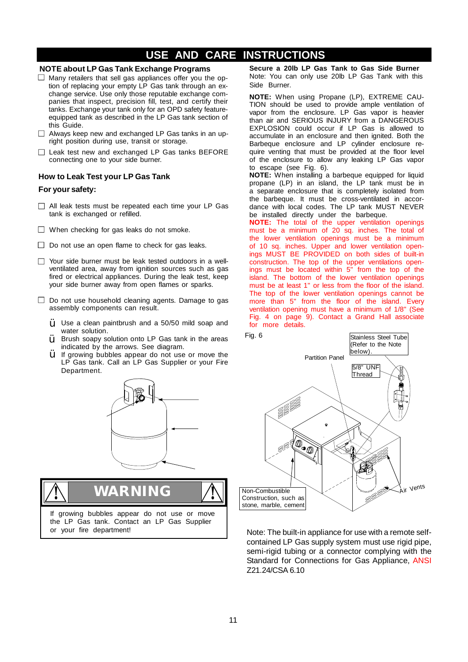### **NOTE about LP Gas Tank Exchange Programs**

- $\Box$  Many retailers that sell gas appliances offer you the option of replacing your empty LP Gas tank through an exchange service. Use only those reputable exchange companies that inspect, precision fill, test, and certify their tanks. Exchange your tank only for an OPD safety featureequipped tank as described in the LP Gas tank section of this Guide.
- $\Box$  Always keep new and exchanged LP Gas tanks in an upright position during use, transit or storage.
- $\Box$  Leak test new and exchanged LP Gas tanks BEFORE connecting one to your side burner.

### **How to Leak Test your LP Gas Tank**

### **For your safety:**

- $\Box$  All leak tests must be repeated each time your LP Gas tank is exchanged or refilled.
- $\Box$  When checking for gas leaks do not smoke.
- $\Box$  Do not use an open flame to check for gas leaks.
- □ Your side burner must be leak tested outdoors in a wellventilated area, away from ignition sources such as gas fired or electrical appliances. During the leak test, keep your side burner away from open flames or sparks.
- $\Box$  Do not use household cleaning agents. Damage to gas assembly components can result.
	- $\ddot{Y}$  Use a clean paintbrush and a 50/50 mild soap and water solution.
	- Brush soapy solution onto LP Gas tank in the areas indicated by the arrows. See diagram. Ÿ
	- If growing bubbles appear do not use or move the LP Gas tank. Call an LP Gas Supplier or your Fire Department. Ÿ



If growing bubbles appear do not use or move the LP Gas tank. Contact an LP Gas Supplier or your fire department! **! WARNING !**

**Secure a 20lb LP Gas Tank to Gas Side Burner** Note: You can only use 20lb LP Gas Tank with this Side Burner.

**NOTE:** When using Propane (LP), EXTREME CAU-TION should be used to provide ample ventilation of vapor from the enclosure. LP Gas vapor is heavier than air and SERIOUS INJURY from a DANGEROUS EXPLOSION could occur if LP Gas is allowed to accumulate in an enclosure and then ignited. Both the Barbeque enclosure and LP cylinder enclosure require venting that must be provided at the floor level of the enclosure to allow any leaking LP Gas vapor to escape (see Fig. 6).

**NOTE:** When installing a barbeque equipped for liquid propane (LP) in an island, the LP tank must be in a separate enclosure that is completely isolated from the barbeque. It must be cross-ventilated in accordance with local codes. The LP tank MUST NEVER be installed directly under the barbeque.

**NOTE:** The total of the upper ventilation openings must be a minimum of 20 sq. inches. The total of the lower ventilation openings must be a minimum of 10 sq. inches. Upper and lower ventilation openings MUST BE PROVIDED on both sides of built-in construction. The top of the upper ventilations openings must be located within 5" from the top of the island. The bottom of the lower ventilation openings must be at least 1" or less from the floor of the island. The top of the lower ventilation openings cannot be more than 5" from the floor of the island. Every ventilation opening must have a minimum of 1/8" (See Fig. 4 on page 9). Contact a Grand Hall associate for more details.



Note: The built-in appliance for use with a remote selfcontained LP Gas supply system must use rigid pipe, semi-rigid tubing or a connector complying with the Standard for Connections for Gas Appliance, ANSI Z21.24/CSA 6.10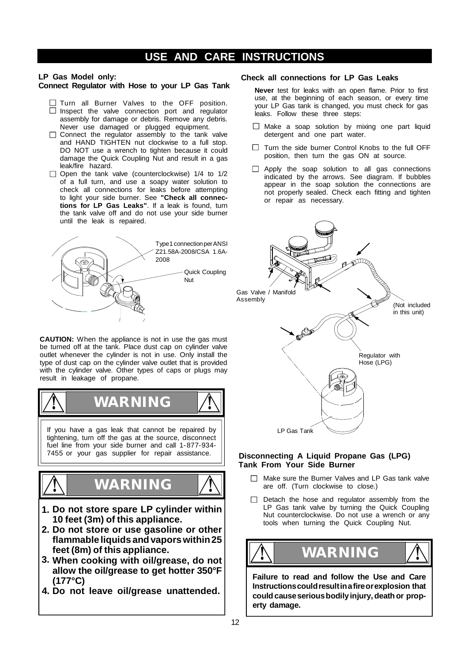### **LP Gas Model only:**

### **Connect Regulator with Hose to your LP Gas Tank**

- Turn all Burner Valves to the OFF position. Inspect the valve connection port and regulator assembly for damage or debris. Remove any debris. Never use damaged or plugged equipment.
- $\Box$  Connect the regulator assembly to the tank valve and HAND TIGHTEN nut clockwise to a full stop. DO NOT use a wrench to tighten because it could damage the Quick Coupling Nut and result in a gas leak/fire hazard.
- $\Box$  Open the tank valve (counterclockwise) 1/4 to 1/2 of a full turn, and use a soapy water solution to check all connections for leaks before attempting to light your side burner. See **"Check all connections for LP Gas Leaks"**. If a leak is found, turn the tank valve off and do not use your side burner until the leak is repaired.



**CAUTION:** When the appliance is not in use the gas must be turned off at the tank. Place dust cap on cylinder valve outlet whenever the cylinder is not in use. Only install the type of dust cap on the cylinder valve outlet that is provided with the cylinder valve. Other types of caps or plugs may result in leakage of propane.



- **1. Do not store spare LP cylinder within 10 feet (3m) of this appliance.**
- **Do not store or use gasoline or other 2. flammable liquids andvaporswithin25 feet (8m) of this appliance.**
- **When cooking with oil/grease, do not 3. allow the oil/grease to get hotter 350°F (177°C)**
- **4. Do not leave oil/grease unattended.**

### **Check all connections for LP Gas Leaks**

**Never** test for leaks with an open flame. Prior to first use, at the beginning of each season, or every time your LP Gas tank is changed, you must check for gas leaks. Follow these three steps:

- $\Box$  Make a soap solution by mixing one part liquid detergent and one part water.
- $\Box$  Turn the side burner Control Knobs to the full OFF position, then turn the gas ON at source.
- $\Box$  Apply the soap solution to all gas connections indicated by the arrows. See diagram. If bubbles appear in the soap solution the connections are not properly sealed. Check each fitting and tighten or repair as necessary.



### **Disconnecting A Liquid Propane Gas (LPG) Tank From Your Side Burner**

- $\Box$  Make sure the Burner Valves and LP Gas tank valve are off. (Turn clockwise to close.)
- $\Box$  Detach the hose and regulator assembly from the LP Gas tank valve by turning the Quick Coupling Nut counterclockwise. Do not use a wrench or any tools when turning the Quick Coupling Nut.



**Failure to read and follow the Use and Care Instructionscouldresultinafireorexplosion that couldcauseseriousbodilyinjury,deathor property damage.**

**!**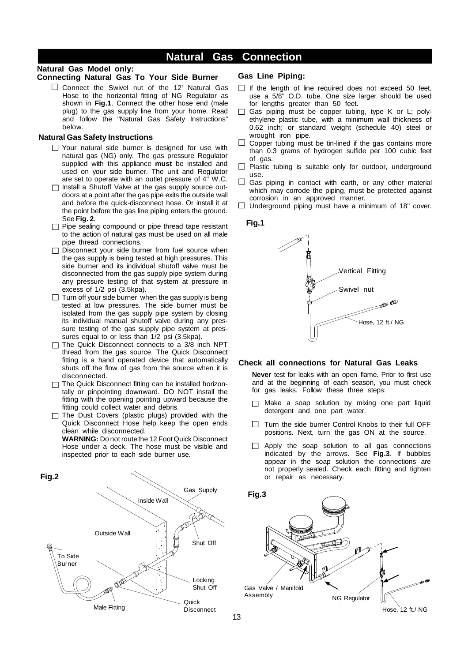### **Natural Gas Connection**

### **Natural Gas Model only:**

### **Connecting Natural Gas To Your Side Burner**

 $\square$  Connect the Swivel nut of the 12' Natural Gas Hose to the horizontal fitting of NG Regulator as shown in **Fig.1**. Connect the other hose end (male plug) to the gas supply line from your home. Read and follow the "Natural Gas Safety Instructions" below.

### **Natural Gas Safety Instructions**

- $\Box$  Your natural side burner is designed for use with natural gas (NG) only. The gas pressure Regulator supplied with this appliance **must** be installed and used on your side burner. The unit and Regulator are set to operate with an outlet pressure of 4" W.C.
- $\Box$  Install a Shutoff Valve at the gas supply source outdoors at a point after the gas pipe exits the outside wall and before the quick-disconnect hose. Or install it at the point before the gas line piping enters the ground. See **Fig. 2**.
- $\Box$  Pipe sealing compound or pipe thread tape resistant to the action of natural gas must be used on all male pipe thread connections.
- $\Box$  Disconnect your side burner from fuel source when the gas supply is being tested at high pressures. This side burner and its individual shutoff valve must be disconnected from the gas supply pipe system during any pressure testing of that system at pressure in excess of 1/2 psi (3.5kpa).
- $\Box$  Turn off your side burner when the gas supply is being tested at low pressures. The side burner must be isolated from the gas supply pipe system by closing its individual manual shutoff valve during any pressure testing of the gas supply pipe system at pressures equal to or less than 1/2 psi (3.5kpa).
- $\Box$  The Quick Disconnect connects to a 3/8 inch NPT thread from the gas source. The Quick Disconnect fitting is a hand operated device that automatically shuts off the flow of gas from the source when it is disconnected.
- $\Box$  The Quick Disconnect fitting can be installed horizontally or pinpointing downward. DO NOT install the fitting with the opening pointing upward because the fitting could collect water and debris.
- The Dust Covers (plastic plugs) provided with the Quick Disconnect Hose help keep the open ends clean while disconnected.

**WARNING:** Do not route the 12 Foot Quick Disconnect Hose under a deck. The hose must be visible and inspected prior to each side burner use.



### **Gas Line Piping:**

- $\Box$  If the length of line required does not exceed 50 feet, use a 5/8" O.D. tube. One size larger should be used for lengths greater than 50 feet.
- $\Box$  Gas piping must be copper tubing, type K or L; polyethylene plastic tube, with a minimum wall thickness of 0.62 inch; or standard weight (schedule 40) steel or wrought iron pipe.
- $\Box$  Copper tubing must be tin-lined if the gas contains more than 0.3 grams of hydrogen sulfide per 100 cubic feet of gas.
- $\Box$  Plastic tubing is suitable only for outdoor, underground use.
- $\Box$  Gas piping in contact with earth, or any other material which may corrode the piping, must be protected against corrosion in an approved manner.
- $\Box$  Underground piping must have a minimum of 18" cover.



#### **Check all connections for Natural Gas Leaks**

**Never** test for leaks with an open flame. Prior to first use and at the beginning of each season, you must check for gas leaks. Follow these three steps:

- Make a soap solution by mixing one part liquid detergent and one part water.
- □ Turn the side burner Control Knobs to their full OFF positions. Next, turn the gas ON at the source.
- Apply the soap solution to all gas connections indicated by the arrows. See **Fig.3**. If bubbles appear in the soap solution the connections are not properly sealed. Check each fitting and tighten or repair as necessary.



Hose, 12 ft./ NG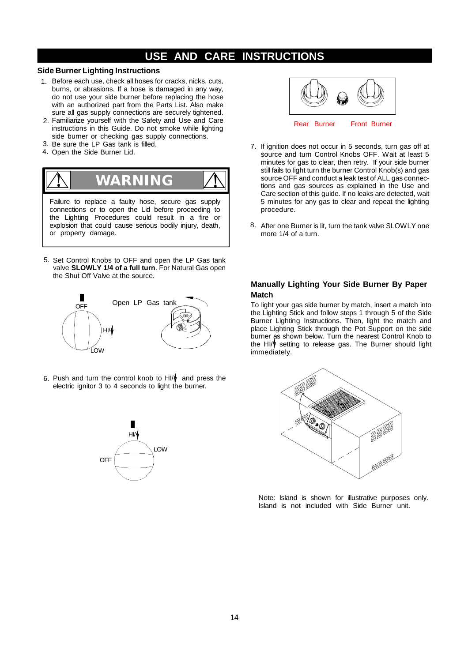### **Side Burner Lighting Instructions**

- 1. Before each use, check all hoses for cracks, nicks, cuts, burns, or abrasions. If a hose is damaged in any way, do not use your side burner before replacing the hose with an authorized part from the Parts List. Also make sure all gas supply connections are securely tightened.
- Familiarize yourself with the Safety and Use and Care 2. instructions in this Guide. Do not smoke while lighting side burner or checking gas supply connections.
- 3. Be sure the LP Gas tank is filled.
- 4. Open the Side Burner Lid.



5. Set Control Knobs to OFF and open the LP Gas tank valve **SLOWLY 1/4 of a full turn**. For Natural Gas open the Shut Off Valve at the source.



6. Push and turn the control knob to HI/ $\phi$  and press the electric ignitor 3 to 4 seconds to light the burner.





- 7. If ignition does not occur in 5 seconds, turn gas off at source and turn Control Knobs OFF. Wait at least 5 minutes for gas to clear, then retry. If your side burner still fails to light turn the burner Control Knob(s) and gas source OFF and conduct a leak test of ALL gas connections and gas sources as explained in the Use and Care section of this guide. If no leaks are detected, wait 5 minutes for any gas to clear and repeat the lighting procedure.
- 8. After one Burner is lit, turn the tank valve SLOWLY one more 1/4 of a turn.

### **Manually Lighting Your Side Burner By Paper Match**

To light your gas side burner by match, insert a match into the Lighting Stick and follow steps 1 through 5 of the Side Burner Lighting Instructions. Then, light the match and place Lighting Stick through the Pot Support on the side burner as shown below. Turn the nearest Control Knob to the HI/<sup> $\dagger$ </sup> setting to release gas. The Burner should light immediately.



Note: Island is shown for illustrative purposes only. Island is not included with Side Burner unit.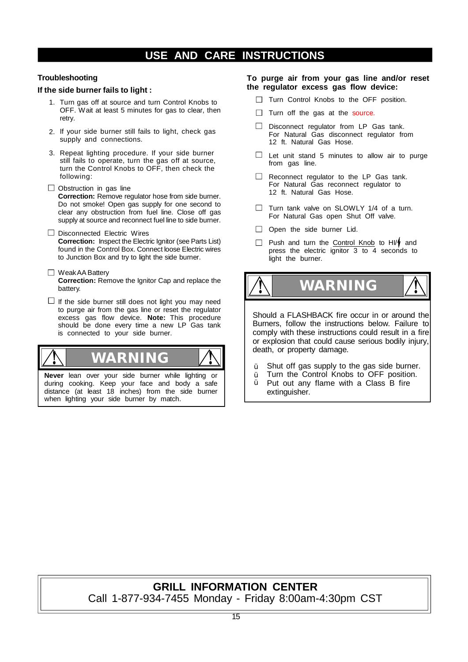### **Troubleshooting**

### **If the side burner fails to light :**

- 1. Turn gas off at source and turn Control Knobs to OFF. Wait at least 5 minutes for gas to clear, then retry.
- 2. If your side burner still fails to light, check gas supply and connections.
- 3. Repeat lighting procedure. If your side burner still fails to operate, turn the gas off at source, turn the Control Knobs to OFF, then check the following:
- $\Box$  Obstruction in gas line **Correction:** Remove regulator hose from side burner. Do not smoke! Open gas supply for one second to clear any obstruction from fuel line. Close off gas supply at source and reconnect fuel line to side burner.
- $\Box$  Disconnected Electric Wires **Correction:** Inspect the Electric Ignitor (see Parts List) found in the Control Box. Connect loose Electric wires to Junction Box and try to light the side burner.
- □ Weak AA Battery **Correction:** Remove the Ignitor Cap and replace the battery.
- $\Box$  If the side burner still does not light you may need to purge air from the gas line or reset the regulator excess gas flow device. **Note:** This procedure should be done every time a new LP Gas tank is connected to your side burner.



during cooking. Keep your face and body a safe distance (at least 18 inches) from the side burner when lighting your side burner by match.

### **To purge air from your gas line and/or reset the regulator excess gas flow device:**

- Turn Control Knobs to the OFF position.
- $\Box$  Turn off the gas at the source.
- $\Box$  Disconnect regulator from LP Gas tank. For Natural Gas disconnect regulator from 12 ft. Natural Gas Hose.
- $\Box$  Let unit stand 5 minutes to allow air to purge from gas line.
- Reconnect regulator to the LP Gas tank.  $\Box$ For Natural Gas reconnect regulator to 12 ft. Natural Gas Hose.
- $\Box$  Turn tank valve on SLOWLY 1/4 of a turn. For Natural Gas open Shut Off valve.
- $\Box$  Open the side burner Lid.
- Push and turn the Control Knob to HI/ $\oint$  and press the electric ignitor 3 to 4 seconds to light the burner.

**WARNING ! !**

Should a FLASHBACK fire occur in or around the Burners, follow the instructions below. Failure to comply with these instructions could result in a fire or explosion that could cause serious bodily injury, death, or property damage.

- Shut off gas supply to the gas side burner. Ÿ
- Turn the Control Knobs to OFF position. Ÿ
- Put out any flame with a Class B fire extinguisher. Ÿ

### **GRILL INFORMATION CENTER** Call 1-877-934-7455 Monday - Friday 8:00am-4:30pm CST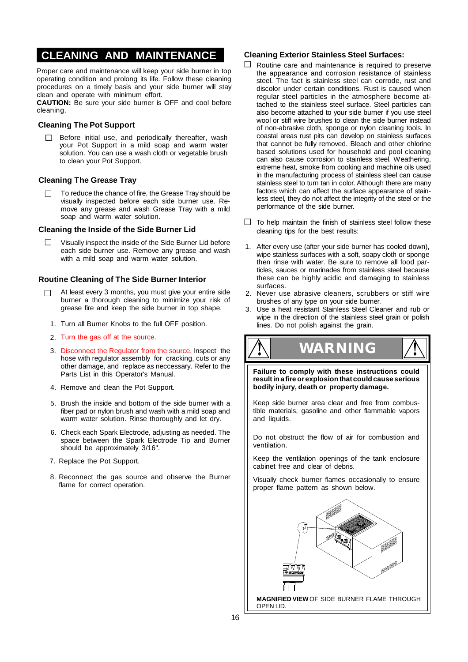### **CLEANING AND MAINTENANCE**

Proper care and maintenance will keep your side burner in top operating condition and prolong its life. Follow these cleaning procedures on a timely basis and your side burner will stay clean and operate with minimum effort.

**CAUTION:** Be sure your side burner is OFF and cool before cleaning.

### **Cleaning The Pot Support**

 $\Box$  Before initial use, and periodically thereafter, wash your Pot Support in a mild soap and warm water solution. You can use a wash cloth or vegetable brush to clean your Pot Support.

### **Cleaning The Grease Tray**

 $\Box$ To reduce the chance of fire, the Grease Tray should be visually inspected before each side burner use. Remove any grease and wash Grease Tray with a mild soap and warm water solution.

### **Cleaning the Inside of the Side Burner Lid**

Visually inspect the inside of the Side Burner Lid before each side burner use. Remove any grease and wash with a mild soap and warm water solution.

### **Routine Cleaning of The Side Burner Interior**

- At least every 3 months, you must give your entire side burner a thorough cleaning to minimize your risk of grease fire and keep the side burner in top shape.
- 1. Turn all Burner Knobs to the full OFF position.
- 2. Turn the gas off at the source.
- 3. Disconnect the Regulator from the source. Inspect the hose with regulator assembly for cracking, cuts or any other damage, and replace as neccessary. Refer to the Parts List in this Operator's Manual.
- 4. Remove and clean the Pot Support.
- 5. Brush the inside and bottom of the side burner with a fiber pad or nylon brush and wash with a mild soap and warm water solution. Rinse thoroughly and let dry.
- 6. Check each Spark Electrode, adjusting as needed. The space between the Spark Electrode Tip and Burner should be approximately 3/16".
- 7. Replace the Pot Support.
- 8. Reconnect the gas source and observe the Burner flame for correct operation.

### **Cleaning Exterior Stainless Steel Surfaces:**

- Routine care and maintenance is required to preserve the appearance and corrosion resistance of stainless steel. The fact is stainless steel can corrode, rust and discolor under certain conditions. Rust is caused when regular steel particles in the atmosphere become attached to the stainless steel surface. Steel particles can also become attached to your side burner if you use steel wool or stiff wire brushes to clean the side burner instead of non-abrasive cloth, sponge or nylon cleaning tools. In coastal areas rust pits can develop on stainless surfaces that cannot be fully removed. Bleach and other chlorine based solutions used for household and pool cleaning can also cause corrosion to stainless steel. Weathering, extreme heat, smoke from cooking and machine oils used in the manufacturing process of stainless steel can cause stainless steel to turn tan in color. Although there are many factors which can affect the surface appearance of stainless steel, they do not affect the integrity of the steel or the performance of the side burner.
- $\Box$  To help maintain the finish of stainless steel follow these cleaning tips for the best results:
- 1. After every use (after your side burner has cooled down), wipe stainless surfaces with a soft, soapy cloth or sponge then rinse with water. Be sure to remove all food particles, sauces or marinades from stainless steel because these can be highly acidic and damaging to stainless surfaces.
- Never use abrasive cleaners, scrubbers or stiff wire brushes of any type on your side burner. 2.
- Use a heat resistant Stainless Steel Cleaner and rub or wipe in the direction of the stainless steel grain or polish lines. Do not polish against the grain. 3.

**! WARNING !**

**Failure to comply with these instructions could resultina fire orexplosionthatcouldcause serious bodily injury, death or property damage.**

Keep side burner area clear and free from combustible materials, gasoline and other flammable vapors and liquids.

Do not obstruct the flow of air for combustion and ventilation.

Keep the ventilation openings of the tank enclosure cabinet free and clear of debris.

Visually check burner flames occasionally to ensure proper flame pattern as shown below.

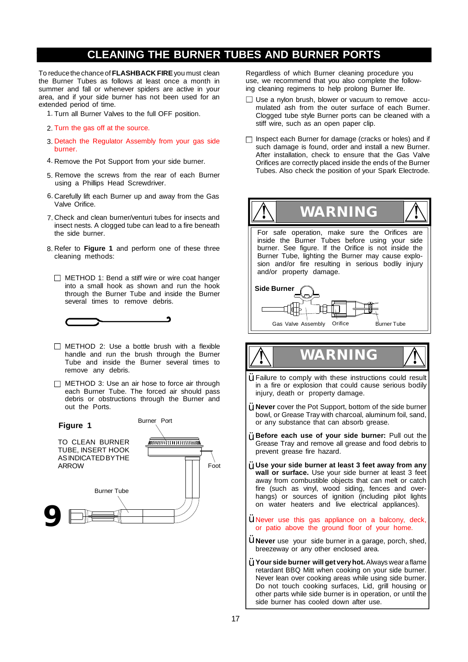### **CLEANING THE BURNER TUBES AND BURNER PORTS** 2.

To reducethe chance of **FLASHBACK FIRE**you must clean the Burner Tubes as follows at least once a month in summer and fall or whenever spiders are active in your area, and if your side burner has not been used for an extended period of time.

- 1. Turn all Burner Valves to the full OFF position.
- 2. Turn the gas off at the source.
- 3. Detach the Regulator Assembly from your gas side burner.
- 4. Remove the Pot Support from your side burner.
- 5. Remove the screws from the rear of each Burner using a Phillips Head Screwdriver.
- 6. Carefully lift each Burner up and away from the Gas Valve Orifice.
- 7. Check and clean burner/venturi tubes for insects and insect nests. A clogged tube can lead to a fire beneath
- 8. Refer to **Figure 1** and perform one of these three cleaning methods:
	- $\Box$  METHOD 1: Bend a stiff wire or wire coat hanger into a small hook as shown and run the hook through the Burner Tube and inside the Burner several times to remove debris.



- $\Box$  METHOD 2: Use a bottle brush with a flexible handle and run the brush through the Burner Tube and inside the Burner several times to remove any debris.
- $\Box$  METHOD 3: Use an air hose to force air through each Burner Tube. The forced air should pass debris or obstructions through the Burner and out the Ports.



Regardless of which Burner cleaning procedure you use, we recommend that you also complete the following cleaning regimens to help prolong Burner life.

- $\Box$  Use a nylon brush, blower or vacuum to remove accumulated ash from the outer surface of each Burner. Clogged tube style Burner ports can be cleaned with a stiff wire, such as an open paper clip.
- $\Box$  Inspect each Burner for damage (cracks or holes) and if such damage is found, order and install a new Burner. After installation, check to ensure that the Gas Valve Orifices are correctly placed inside the ends of the Burner Tubes. Also check the position of your Spark Electrode.



# **! WARNING !**

- Failure to comply with these instructions could result in a fire or explosion that could cause serious bodily injury, death or property damage. Ÿ
- **Never** cover the Pot Support, bottom of the side burner Ÿ bowl, or Grease Tray with charcoal, aluminum foil, sand, or any substance that can absorb grease.
- **Before each use of your side burner:** Pull out the Ÿ Grease Tray and remove all grease and food debris to prevent grease fire hazard.
- **Use your side burner at least 3 feet away from any** Ÿ **wall or surface.** Use your side burner at least 3 feet away from combustible objects that can melt or catch fire (such as vinyl, wood siding, fences and overhangs) or sources of ignition (including pilot lights on water heaters and live electrical appliances).
- $\ddot{Y}$  Never use this gas appliance on a balcony, deck, or patio above the ground floor of your home.
- **Y** Never use your side burner in a garage, porch, shed, breezeway or any other enclosed area.
- **Your side burner will get veryhot.** Always wear a flame Ÿretardant BBQ Mitt when cooking on your side burner. Never lean over cooking areas while using side burner. Do not touch cooking surfaces, Lid, grill housing or other parts while side burner is in operation, or until the side burner has cooled down after use.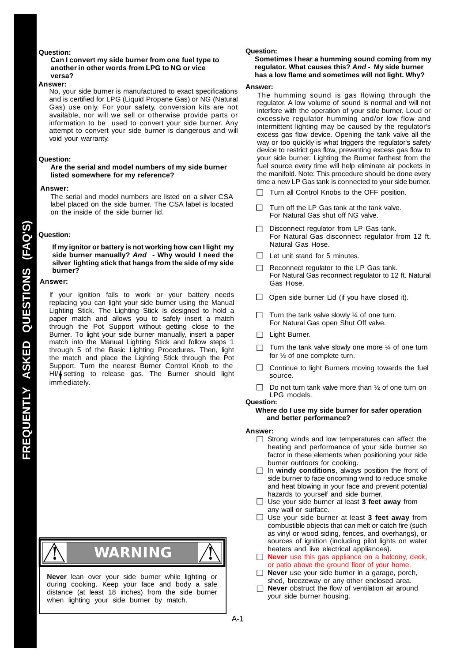### **Question:**

### **Can I convert my side burner from one fuel type to another in other words from LPG to NG or vice versa?**

#### **Answer:**

No, your side burner is manufactured to exact specifications and is certified for LPG (Liquid Propane Gas) or NG (Natural Gas) use only. For your safety, conversion kits are not available, nor will we sell or otherwise provide parts or information to be used to convert your side burner. Any attempt to convert your side burner is dangerous and will void your warranty.

#### **Question:**

### **Are the serial and model numbers of my side burner listed somewhere for my reference?**

#### **Answer:**

The serial and model numbers are listed on a silver CSA label placed on the side burner. The CSA label is located on the inside of the side burner lid.

#### **Question:**

**If my ignitor or battery is not working how can I light my side burner manually?** *And* **- Why would I need the silver lighting stick that hangs from the side of my side burner?**

#### **Answer:**

If your ignition fails to work or your battery needs replacing you can light your side burner using the Manual Lighting Stick. The Lighting Stick is designed to hold a paper match and allows you to safely insert a match through the Pot Support without getting close to the Burner. To light your side burner manually, insert a paper match into the Manual Lighting Stick and follow steps 1 through 5 of the Basic Lighting Procedures. Then, light the match and place the Lighting Stick through the Pot Support. Turn the nearest Burner Control Knob to the HI/ $\oint$  setting to release gas. The Burner should light immediately.



**Never** lean over your side burner while lighting or during cooking. Keep your face and body a safe distance (at least 18 inches) from the side burner when lighting your side burner by match.

#### **Question:**

#### **Sometimes I hear a humming sound coming from my regulator. What causes this?** *And -* **My side burner has a low flame and sometimes will not light. Why?**

#### **Answer:**

The humming sound is gas flowing through the regulator. A low volume of sound is normal and will not interfere with the operation of your side burner. Loud or excessive regulator humming and/or low flow and intermittent lighting may be caused by the regulator's excess gas flow device. Opening the tank valve all the way or too quickly is what triggers the regulator's safety device to restrict gas flow, preventing excess gas flow to your side burner. Lighting the Burner farthest from the fuel source every time will help eliminate air pockets in the manifold. Note: This procedure should be done every time a new LP Gas tank is connected to your side burner.

- Turn all Control Knobs to the OFF position. П
- Turn off the LP Gas tank at the tank valve. For Natural Gas shut off NG valve.
- Disconnect regulator from LP Gas tank.  $\Box$ For Natural Gas disconnect regulator from 12 ft. Natural Gas Hose.
- $\Box$  Let unit stand for 5 minutes.
- Reconnect regulator to the LP Gas tank. For Natural Gas reconnect regulator to 12 ft. Natural Gas Hose.
- $\Box$  Open side burner Lid (if you have closed it).
- П. Turn the tank valve slowly ¼ of one turn. For Natural Gas open Shut Off valve.
- □ Light Burner.
- Turn the tank valve slowly one more  $\frac{1}{4}$  of one turn for ½ of one complete turn.
- $\Box$ Continue to light Burners moving towards the fuel source.
- Do not turn tank valve more than ½ of one turn on  $\Box$ LPG models.

### **Question:**

### **Where do I use my side burner for safer operation and better performance?**

#### **Answer:**

- $\Box$  Strong winds and low temperatures can affect the heating and performance of your side burner so factor in these elements when positioning your side burner outdoors for cooking.
- In **windy conditions**, always position the front of side burner to face oncoming wind to reduce smoke and heat blowing in your face and prevent potential hazards to yourself and side burner.
- Use your side burner at least **3 feet away** from any wall or surface.
- Use your side burner at least **3 feet away** from combustible objects that can melt or catch fire (such as vinyl or wood siding, fences, and overhangs), or sources of ignition (including pilot lights on water heaters and live electrical appliances).
- **Never** use this gas appliance on a balcony, deck, or patio above the ground floor of your home.
- **Never** use your side burner in a garage, porch, shed, breezeway or any other enclosed area.
- **Never** obstruct the flow of ventilation air around П your side burner housing.

A-1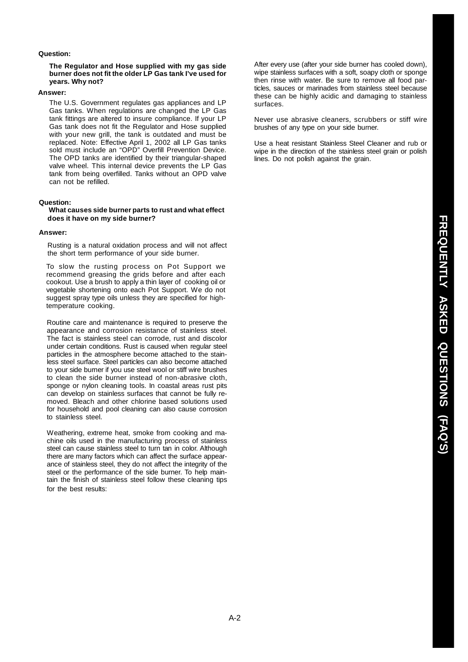### **Question:**

### **The Regulator and Hose supplied with my gas side burner does not fit the older LP Gas tank I've used for years. Why not?**

#### **Answer:**

The U.S. Government regulates gas appliances and LP Gas tanks. When regulations are changed the LP Gas tank fittings are altered to insure compliance. If your LP Gas tank does not fit the Regulator and Hose supplied with your new grill, the tank is outdated and must be replaced. Note: Effective April 1, 2002 all LP Gas tanks sold must include an "OPD" Overfill Prevention Device. The OPD tanks are identified by their triangular-shaped valve wheel. This internal device prevents the LP Gas tank from being overfilled. Tanks without an OPD valve can not be refilled.

### **Question:**

### **What causes side burner parts to rust and what effect does it have on my side burner?**

### **Answer:**

Rusting is a natural oxidation process and will not affect the short term performance of your side burner.

To slow the rusting process on Pot Support we recommend greasing the grids before and after each cookout. Use a brush to apply a thin layer of cooking oil or vegetable shortening onto each Pot Support. We do not suggest spray type oils unless they are specified for hightemperature cooking.

Routine care and maintenance is required to preserve the appearance and corrosion resistance of stainless steel. The fact is stainless steel can corrode, rust and discolor under certain conditions. Rust is caused when regular steel particles in the atmosphere become attached to the stainless steel surface. Steel particles can also become attached to your side burner if you use steel wool or stiff wire brushes to clean the side burner instead of non-abrasive cloth, sponge or nylon cleaning tools. In coastal areas rust pits can develop on stainless surfaces that cannot be fully removed. Bleach and other chlorine based solutions used for household and pool cleaning can also cause corrosion to stainless steel.

Weathering, extreme heat, smoke from cooking and machine oils used in the manufacturing process of stainless steel can cause stainless steel to turn tan in color. Although there are many factors which can affect the surface appearance of stainless steel, they do not affect the integrity of the steel or the performance of the side burner. To help maintain the finish of stainless steel follow these cleaning tips for the hest results:

After every use (after your side burner has cooled down), wipe stainless surfaces with a soft, soapy cloth or sponge then rinse with water. Be sure to remove all food particles, sauces or marinades from stainless steel because these can be highly acidic and damaging to stainless surfaces.

Never use abrasive cleaners, scrubbers or stiff wire brushes of any type on your side burner.

Use a heat resistant Stainless Steel Cleaner and rub or wipe in the direction of the stainless steel grain or polish lines. Do not polish against the grain.